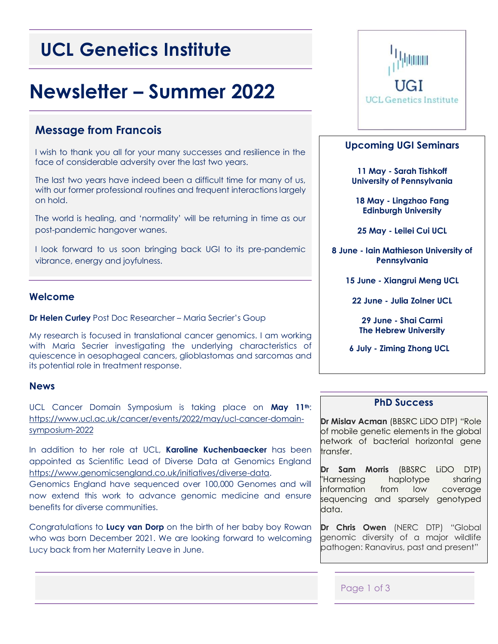# **UCL Genetics Institute**

# **Newsletter – Summer 2022**

# **Message from Francois**

I wish to thank you all for your many successes and resilience in the face of considerable adversity over the last two years.

The last two years have indeed been a difficult time for many of us, with our former professional routines and frequent interactions largely on hold.

The world is healing, and 'normality' will be returning in time as our post-pandemic hangover wanes.

I look forward to us soon bringing back UGI to its pre-pandemic vibrance, energy and joyfulness.

#### **Welcome**

**Dr Helen Curley** Post Doc Researcher – Maria Secrier's Goup

My research is focused in translational cancer genomics. I am working with Maria Secrier investigating the underlying characteristics of quiescence in oesophageal cancers, glioblastomas and sarcomas and its potential role in treatment response.

#### **News**

UCL Cancer Domain Symposium is taking place on **May 11th**: [https://www.ucl.ac.uk/cancer/events/2022/may/ucl-cancer-domain](https://www.ucl.ac.uk/cancer/events/2022/may/ucl-cancer-domain-symposium-2022)[symposium-2022](https://www.ucl.ac.uk/cancer/events/2022/may/ucl-cancer-domain-symposium-2022)

In addition to her role at UCL, **Karoline Kuchenbaecker** has been appointed as Scientific Lead of Diverse Data at Genomics England [https://www.genomicsengland.co.uk/initiatives/diverse-data.](https://www.genomicsengland.co.uk/initiatives/diverse-data)

Genomics England have sequenced over 100,000 Genomes and will now extend this work to advance genomic medicine and ensure benefits for diverse communities.

Congratulations to **Lucy van Dorp** on the birth of her baby boy Rowan who was born December 2021. We are looking forward to welcoming Lucy back from her Maternity Leave in June.



#### **Upcoming UGI Seminars**

**11 May - Sarah Tishkoff University of Pennsylvania**

**18 May - Lingzhao Fang Edinburgh University**

**25 May - Leilei Cui UCL**

**8 June - Iain Mathieson University of Pennsylvania**

**15 June - Xiangrui Meng UCL**

**22 June - Julia Zolner UCL**

**29 June - Shai Carmi The Hebrew University**

**6 July - Ziming Zhong UCL**

### **PhD Success**

**Dr Mislav Acman** (BBSRC LiDO DTP) "Role of mobile genetic elements in the global network of bacterial horizontal gene transfer.

**Dr Sam Morris** (BBSRC LiDO DTP) "Harnessing haplotype sharing information from low coverage sequencing and sparsely genotyped data.

**Dr Chris Owen** (NERC DTP) "Global genomic diversity of a major wildlife pathogen: Ranavirus, past and present"

#### Page 1 of 3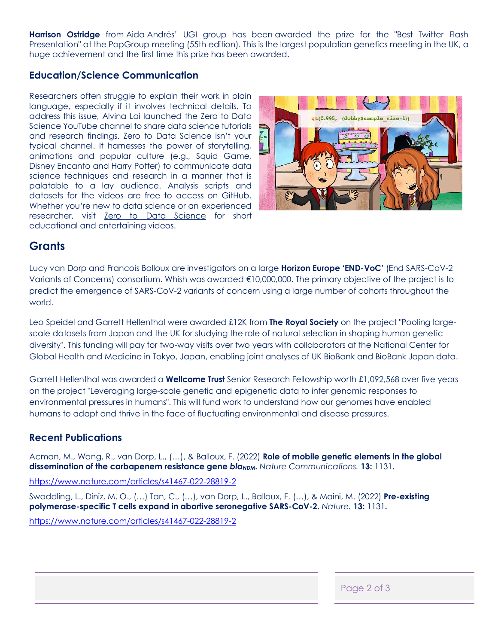**Harrison Ostridge** from Aida Andrés' UGI group has been awarded the prize for the "Best Twitter Flash Presentation" at the PopGroup meeting (55th edition). This is the largest population genetics meeting in the UK, a huge achievement and the first time this prize has been awarded.

### **Education/Science Communication**

Researchers often struggle to explain their work in plain language, especially if it involves technical details. To address this issue, [Alvina Lai](https://eur01.safelinks.protection.outlook.com/?url=https%3A%2F%2Fwww.alvinalailab.com%2F&data=05%7C01%7Cj.gadd%40ucl.ac.uk%7Ccd54159667344ea8fd4f08da22cc604b%7C1faf88fea9984c5b93c9210a11d9a5c2%7C0%7C0%7C637860558430666426%7CUnknown%7CTWFpbGZsb3d8eyJWIjoiMC4wLjAwMDAiLCJQIjoiV2luMzIiLCJBTiI6Ik1haWwiLCJXVCI6Mn0%3D%7C3000%7C%7C%7C&sdata=cUbqaHyH6WDKT%2BLL3qrau2264YtWv0DROpjQ0xOKT9A%3D&reserved=0) launched the Zero to Data Science YouTube channel to share data science tutorials and research findings. Zero to Data Science isn't your typical channel. It harnesses the power of storytelling, animations and popular culture (e.g., Squid Game, Disney Encanto and Harry Potter) to communicate data science techniques and research in a manner that is palatable to a lay audience. Analysis scripts and datasets for the videos are free to access on GitHub. Whether you're new to data science or an experienced researcher, visit **[Zero to Data Science](https://eur01.safelinks.protection.outlook.com/?url=https%3A%2F%2Fwww.youtube.com%2Fchannel%2FUCoqMuNeGPs8nhYefK20wOMg&data=05%7C01%7Cj.gadd%40ucl.ac.uk%7Ccd54159667344ea8fd4f08da22cc604b%7C1faf88fea9984c5b93c9210a11d9a5c2%7C0%7C0%7C637860558430666426%7CUnknown%7CTWFpbGZsb3d8eyJWIjoiMC4wLjAwMDAiLCJQIjoiV2luMzIiLCJBTiI6Ik1haWwiLCJXVCI6Mn0%3D%7C3000%7C%7C%7C&sdata=3nM%2BNYQx%2B7Zr8eWfeZJMxXwDEDHpwPd%2B0qeWuNJIR7I%3D&reserved=0)** for short educational and entertaining videos.



# **Grants**

Lucy van Dorp and Francois Balloux are investigators on a large **Horizon Europe 'END-VoC'** (End SARS-CoV-2 Variants of Concerns) consortium. Whish was awarded €10,000,000. The primary objective of the project is to predict the emergence of SARS-CoV-2 variants of concern using a large number of cohorts throughout the world.

Leo Speidel and Garrett Hellenthal were awarded £12K from **The Royal Society** on the project "Pooling largescale datasets from Japan and the UK for studying the role of natural selection in shaping human genetic diversity". This funding will pay for two-way visits over two years with collaborators at the National Center for Global Health and Medicine in Tokyo, Japan, enabling joint analyses of UK BioBank and BioBank Japan data.

Garrett Hellenthal was awarded a **Wellcome Trust** Senior Research Fellowship worth £1,092,568 over five years on the project "Leveraging large-scale genetic and epigenetic data to infer genomic responses to environmental pressures in humans". This will fund work to understand how our genomes have enabled humans to adapt and thrive in the face of fluctuating environmental and disease pressures.

## **Recent Publications**

Acman, M., Wang, R., van Dorp, L., (…), & Balloux, F. (2022) **Role of mobile genetic elements in the global dissemination of the carbapenem resistance gene** *bla***<sub>***NDM</sub>***. Nature Communications. 13: 1131.**</sub>

<https://www.nature.com/articles/s41467-022-28819-2>

Swaddling, L., Diniz, M. O., (…) Tan, C., (…), van Dorp, L., Balloux, F. (…), & Maini, M. (2022) **Pre-existing polymerase-specific T cells expand in abortive seronegative SARS-CoV-2.** *Nature.* **13:** 1131**.** <https://www.nature.com/articles/s41467-022-28819-2>

Page 2 of 3